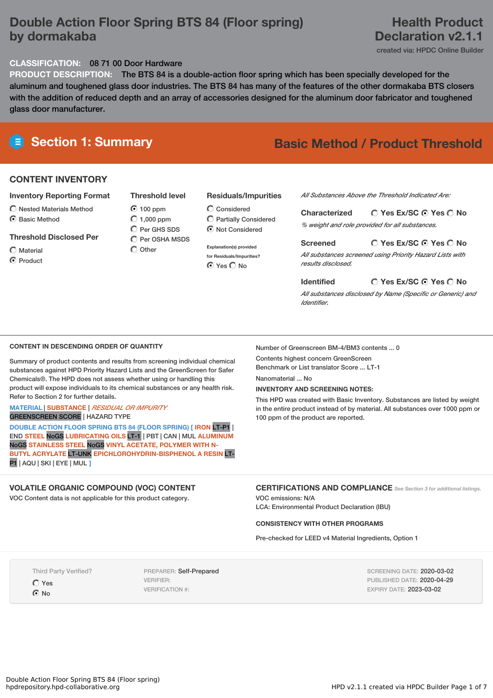### **Double Action Floor Spring BTS 84 (Floor spring) by dormakaba**

### **Health Product Declaration v2.1.1**

created via: HPDC Online Builder

#### **CLASSIFICATION:** 08 71 00 Door Hardware

**PRODUCT DESCRIPTION:** The BTS 84 is a double-action floor spring which has been specially developed for the aluminum and toughened glass door industries. The BTS 84 has many of the features of the other dormakaba BTS closers with the addition of reduced depth and an array of accessories designed for the aluminum door fabricator and toughened glass door manufacturer.

# **Section 1: Summary Basic Method / Product Threshold**

#### **CONTENT INVENTORY**

#### **Inventory Reporting Format**

- $\bigcirc$  Nested Materials Method
- C Basic Method

#### **Threshold Disclosed Per**

 $\bigcap$  Material

C Product

100 ppm  $O$  1.000 ppm  $O$  Per GHS SDS

**Threshold level**

 $\overline{O}$  Per OSHA MSDS  $\bigcirc$  Other

### **Residuals/Impurities**

Considered Partially Considered  $\odot$  Not Considered

**Explanation(s) provided for Residuals/Impurities?** ⊙ Yes O No

*All Substances Above the Threshold Indicated Are:*

**Yes Ex/SC Yes No Characterized** *% weight and role provided for all substances.*

#### **Yes Ex/SC Yes No Screened**

*All substances screened using Priority Hazard Lists with results disclosed.*

**Yes Ex/SC Yes No Identified** *All substances disclosed by Name (Specific or Generic) and Identifier.*

#### **CONTENT IN DESCENDING ORDER OF QUANTITY**

Summary of product contents and results from screening individual chemical substances against HPD Priority Hazard Lists and the GreenScreen for Safer Chemicals®. The HPD does not assess whether using or handling this product will expose individuals to its chemical substances or any health risk. Refer to Section 2 for further details.

#### **MATERIAL** | **SUBSTANCE** | *RESIDUAL OR IMPURITY* GREENSCREEN SCORE | HAZARD TYPE

**DOUBLE ACTION FLOOR SPRING BTS 84 (FLOOR SPRING) [ IRON** LT-P1 | END **STEEL** NoGS **LUBRICATING OILS** LT-1 | PBT | CAN | MUL **ALUMINUM** NoGS **STAINLESS STEEL** NoGS **VINYL ACETATE, POLYMER WITH N-BUTYL ACRYLATE** LT-UNK **EPICHLOROHYDRIN-BISPHENOL A RESIN** LT-P1 | AQU | SKI | EYE | MUL **]**

#### **VOLATILE ORGANIC COMPOUND (VOC) CONTENT**

VOC Content data is not applicable for this product category.

Number of Greenscreen BM-4/BM3 contents ... 0 Contents highest concern GreenScreen

Benchmark or List translator Score ... LT-1

Nanomaterial ... No

#### **INVENTORY AND SCREENING NOTES:**

This HPD was created with Basic Inventory. Substances are listed by weight in the entire product instead of by material. All substances over 1000 ppm or 100 ppm of the product are reported.

#### **CERTIFICATIONS AND COMPLIANCE** *See Section <sup>3</sup> for additional listings.*

VOC emissions: N/A LCA: Environmental Product Declaration (IBU)

#### **CONSISTENCY WITH OTHER PROGRAMS**

Pre-checked for LEED v4 Material Ingredients, Option 1

Third Party Verified? Yes **O** No

PREPARER: Self-Prepared VERIFIER: VERIFICATION #:

SCREENING DATE: 2020-03-02 PUBLISHED DATE: 2020-04-29 EXPIRY DATE: 2023-03-02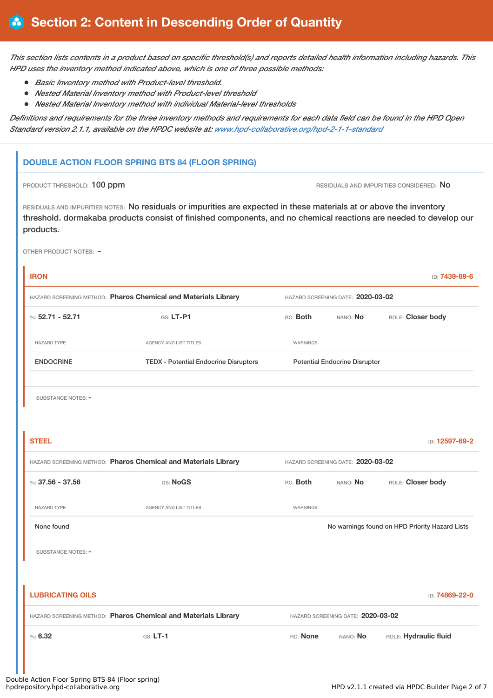This section lists contents in a product based on specific threshold(s) and reports detailed health information including hazards. This *HPD uses the inventory method indicated above, which is one of three possible methods:*

- *Basic Inventory method with Product-level threshold.*
- *Nested Material Inventory method with Product-level threshold*
- *Nested Material Inventory method with individual Material-level thresholds*

Definitions and requirements for the three inventory methods and requirements for each data field can be found in the HPD Open *Standard version 2.1.1, available on the HPDC website at: [www.hpd-collaborative.org/hpd-2-1-1-standard](https://www.hpd-collaborative.org/hpd-2-1-1-standard)*

#### **DOUBLE ACTION FLOOR SPRING BTS 84 (FLOOR SPRING)**

PRODUCT THRESHOLD: 100 ppm **RESIDUALS** AND IMPURITIES CONSIDERED: No

RESIDUALS AND IMPURITIES NOTES: No residuals or impurities are expected in these materials at or above the inventory threshold. dormakaba products consist of finished components, and no chemical reactions are needed to develop our products.

OTHER PRODUCT NOTES: -

| <b>IRON</b>               |                                                                                                     |                 |                                      | ID: 7439-89-6                                  |  |
|---------------------------|-----------------------------------------------------------------------------------------------------|-----------------|--------------------------------------|------------------------------------------------|--|
|                           | HAZARD SCREENING METHOD: Pharos Chemical and Materials Library                                      |                 | HAZARD SCREENING DATE: 2020-03-02    |                                                |  |
| %: $52.71 - 52.71$        | GS: LT-P1                                                                                           | RC: Both        | NANO: No                             | ROLE: Closer body                              |  |
| <b>HAZARD TYPE</b>        | AGENCY AND LIST TITLES                                                                              | <b>WARNINGS</b> |                                      |                                                |  |
| <b>ENDOCRINE</b>          | <b>TEDX - Potential Endocrine Disruptors</b>                                                        |                 | <b>Potential Endocrine Disruptor</b> |                                                |  |
|                           |                                                                                                     |                 |                                      |                                                |  |
| <b>SUBSTANCE NOTES: -</b> |                                                                                                     |                 |                                      |                                                |  |
|                           |                                                                                                     |                 |                                      |                                                |  |
| <b>STEEL</b>              |                                                                                                     |                 |                                      | ID: 12597-69-2                                 |  |
|                           | HAZARD SCREENING METHOD: Pharos Chemical and Materials Library<br>HAZARD SCREENING DATE: 2020-03-02 |                 |                                      |                                                |  |
| %: 37.56 - 37.56          | GS: NoGS                                                                                            | RC: Both        | NANO: No                             | ROLE: Closer body                              |  |
| <b>HAZARD TYPE</b>        | AGENCY AND LIST TITLES                                                                              | WARNINGS        |                                      |                                                |  |
| None found                |                                                                                                     |                 |                                      | No warnings found on HPD Priority Hazard Lists |  |
| SUBSTANCE NOTES: -        |                                                                                                     |                 |                                      |                                                |  |
|                           |                                                                                                     |                 |                                      |                                                |  |
| <b>LUBRICATING OILS</b>   |                                                                                                     |                 |                                      | ID: 74869-22-0                                 |  |
|                           | HAZARD SCREENING METHOD: Pharos Chemical and Materials Library                                      |                 | HAZARD SCREENING DATE: 2020-03-02    |                                                |  |
| %5.32                     | $G.S. LT-1$                                                                                         | RC: None        | NANO: No                             | ROLE: Hydraulic fluid                          |  |
|                           |                                                                                                     |                 |                                      |                                                |  |
|                           |                                                                                                     |                 |                                      |                                                |  |

## Double Action Floor Spring BTS 84 (Floor spring)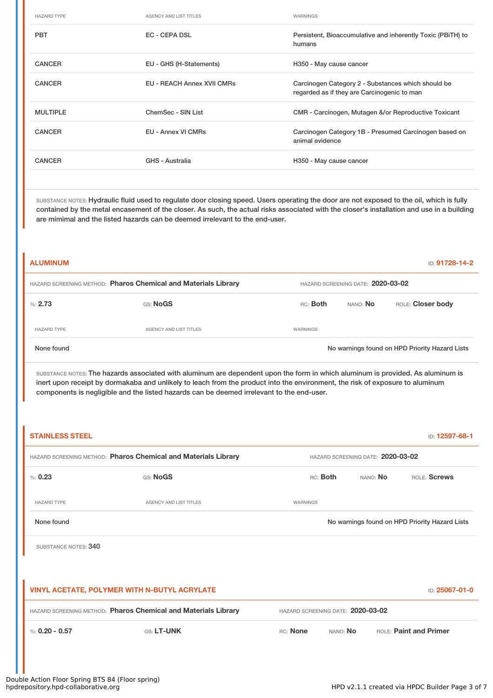| <b>HAZARD TYPE</b> | <b>AGENCY AND LIST TITLES</b>     | WARNINGS                                                                                          |
|--------------------|-----------------------------------|---------------------------------------------------------------------------------------------------|
| <b>PBT</b>         | EC - CEPA DSL                     | Persistent, Bioaccumulative and inherently Toxic (PBITH) to<br>humans                             |
| <b>CANCER</b>      | EU - GHS (H-Statements)           | H350 - May cause cancer                                                                           |
| <b>CANCER</b>      | <b>EU - REACH Annex XVII CMRs</b> | Carcinogen Category 2 - Substances which should be<br>regarded as if they are Carcinogenic to man |
| <b>MULTIPLE</b>    | ChemSec - SIN List                | CMR - Carcinogen, Mutagen &/or Reproductive Toxicant                                              |
| <b>CANCER</b>      | EU - Annex VI CMRs                | Carcinogen Category 1B - Presumed Carcinogen based on<br>animal evidence                          |
| <b>CANCER</b>      | GHS - Australia                   | H350 - May cause cancer                                                                           |

SUBSTANCE NOTES: Hydraulic fluid used to regulate door closing speed. Users operating the door are not exposed to the oil, which is fully contained by the metal encasement of the closer. As such, the actual risks associated with the closer's installation and use in a building are mimimal and the listed hazards can be deemed irrelevant to the end-user.

| <b>ALUMINUM</b>    |                                                                |                                   |          | ID: 91728-14-2                                 |
|--------------------|----------------------------------------------------------------|-----------------------------------|----------|------------------------------------------------|
|                    | HAZARD SCREENING METHOD: Pharos Chemical and Materials Library | HAZARD SCREENING DATE: 2020-03-02 |          |                                                |
| %2.73              | GS: NoGS                                                       | RC: Both                          | NANO: No | ROLE: Closer body                              |
| <b>HAZARD TYPE</b> | <b>AGENCY AND LIST TITLES</b>                                  | WARNINGS                          |          |                                                |
| None found         |                                                                |                                   |          | No warnings found on HPD Priority Hazard Lists |

SUBSTANCE NOTES: The hazards associated with aluminum are dependent upon the form in which aluminum is provided. As aluminum is inert upon receipt by dormakaba and unlikely to leach from the product into the environment, the risk of exposure to aluminum components is negligible and the listed hazards can be deemed irrelevant to the end-user.

| <b>STAINLESS STEEL</b>                                                                              |                                                                |                      |                                   | ID: 12597-68-1                                 |
|-----------------------------------------------------------------------------------------------------|----------------------------------------------------------------|----------------------|-----------------------------------|------------------------------------------------|
|                                                                                                     | HAZARD SCREENING METHOD: Pharos Chemical and Materials Library |                      | HAZARD SCREENING DATE: 2020-03-02 |                                                |
| % 0.23                                                                                              | GS: NoGS                                                       | RC: Both             | NANO: No                          | ROLE: Screws                                   |
| <b>HAZARD TYPE</b>                                                                                  | <b>AGENCY AND LIST TITLES</b>                                  | WARNINGS             |                                   |                                                |
| None found                                                                                          |                                                                |                      |                                   | No warnings found on HPD Priority Hazard Lists |
| SUBSTANCE NOTES: 340                                                                                |                                                                |                      |                                   |                                                |
|                                                                                                     |                                                                |                      |                                   |                                                |
| VINYL ACETATE, POLYMER WITH N-BUTYL ACRYLATE<br>ID: 25067-01-0                                      |                                                                |                      |                                   |                                                |
| HAZARD SCREENING METHOD: Pharos Chemical and Materials Library<br>HAZARD SCREENING DATE: 2020-03-02 |                                                                |                      |                                   |                                                |
| %: $0.20 - 0.57$                                                                                    | GS: LT-UNK                                                     | RC: None<br>NANO: No |                                   | <b>ROLE: Paint and Primer</b>                  |
|                                                                                                     |                                                                |                      |                                   |                                                |
|                                                                                                     |                                                                |                      |                                   |                                                |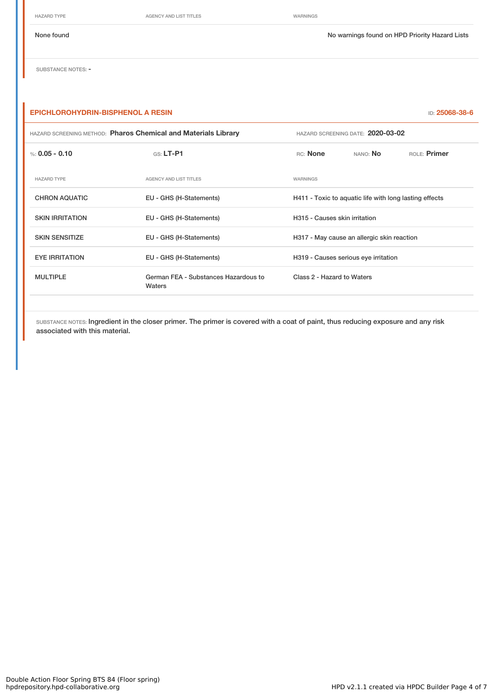HAZARD TYPE **AGENCY AND LIST TITLES** WARNINGS

None found Nowarnings found on HPD Priority Hazard Lists

SUBSTANCE NOTES: -

### **EPICHLOROHYDRIN-BISPHENOL A RESIN** ID: **25068-38-6**

| HAZARD SCREENING METHOD: Pharos Chemical and Materials Library |                                                | HAZARD SCREENING DATE: 2020-03-02                      |          |              |  |
|----------------------------------------------------------------|------------------------------------------------|--------------------------------------------------------|----------|--------------|--|
| %: $0.05 - 0.10$                                               | $GS: LT-P1$                                    | RC: None                                               | NANO: No | ROLE: Primer |  |
| <b>HAZARD TYPE</b>                                             | <b>AGENCY AND LIST TITLES</b>                  | WARNINGS                                               |          |              |  |
| <b>CHRON AQUATIC</b>                                           | EU - GHS (H-Statements)                        | H411 - Toxic to aquatic life with long lasting effects |          |              |  |
| <b>SKIN IRRITATION</b>                                         | EU - GHS (H-Statements)                        | H315 - Causes skin irritation                          |          |              |  |
| <b>SKIN SENSITIZE</b>                                          | EU - GHS (H-Statements)                        | H317 - May cause an allergic skin reaction             |          |              |  |
| <b>EYE IRRITATION</b>                                          | EU - GHS (H-Statements)                        | H319 - Causes serious eye irritation                   |          |              |  |
| <b>MULTIPLE</b>                                                | German FEA - Substances Hazardous to<br>Waters | Class 2 - Hazard to Waters                             |          |              |  |

SUBSTANCE NOTES: Ingredient in the closer primer. The primer is covered with a coat of paint, thus reducing exposure and any risk associated with this material.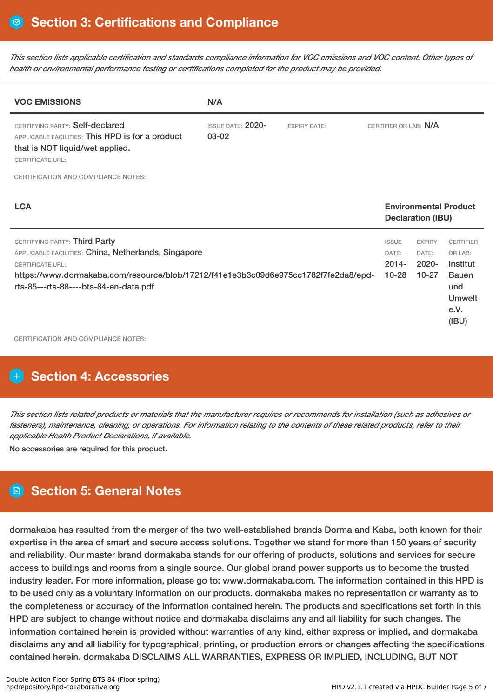This section lists applicable certification and standards compliance information for VOC emissions and VOC content. Other types of *health or environmental performance testing or certifications completed for the product may be provided.*

| <b>VOC EMISSIONS</b>                                                                                                                                                                                                                                                                           | N/A |  |                                                |                                                 |                                                                                                  |  |
|------------------------------------------------------------------------------------------------------------------------------------------------------------------------------------------------------------------------------------------------------------------------------------------------|-----|--|------------------------------------------------|-------------------------------------------------|--------------------------------------------------------------------------------------------------|--|
| CERTIFYING PARTY: Self-declared<br><b>ISSUE DATE: 2020-</b><br><b>EXPIRY DATE:</b><br>03-02<br>APPLICABLE FACILITIES: This HPD is for a product<br>that is NOT liquid/wet applied.<br><b>CERTIFICATE URL:</b>                                                                                  |     |  | CERTIFIER OR LAB: N/A                          |                                                 |                                                                                                  |  |
| <b>CERTIFICATION AND COMPLIANCE NOTES:</b>                                                                                                                                                                                                                                                     |     |  |                                                |                                                 |                                                                                                  |  |
| <b>LCA</b>                                                                                                                                                                                                                                                                                     |     |  |                                                | <b>Declaration (IBU)</b>                        | <b>Environmental Product</b>                                                                     |  |
| CERTIFYING PARTY: Third Party<br>APPLICABLE FACILITIES: China, Netherlands, Singapore<br><b>CERTIFICATE URL:</b><br>https://www.dormakaba.com/resource/blob/17212/f41e1e3b3c09d6e975cc1782f7fe2da8/epd-<br>rts-85---rts-88----bts-84-en-data.pdf<br><b>CERTIFICATION AND COMPLIANCE NOTES:</b> |     |  | <b>ISSUE</b><br>DATE:<br>$2014 -$<br>$10 - 28$ | <b>EXPIRY</b><br>DATE:<br>$2020 -$<br>$10 - 27$ | <b>CERTIFIER</b><br>OR LAB:<br>Institut<br><b>Bauen</b><br>und<br><b>Umwelt</b><br>e.V.<br>(IBU) |  |

### **Section 4: Accessories**

This section lists related products or materials that the manufacturer requires or recommends for installation (such as adhesives or fasteners), maintenance, cleaning, or operations. For information relating to the contents of these related products, refer to their *applicable Health Product Declarations, if available.*

No accessories are required for this product.

## **Section 5: General Notes**

dormakaba has resulted from the merger of the two well-established brands Dorma and Kaba, both known for their expertise in the area of smart and secure access solutions. Together we stand for more than 150 years of security and reliability. Our master brand dormakaba stands for our offering of products, solutions and services for secure access to buildings and rooms from a single source. Our global brand power supports us to become the trusted industry leader. For more information, please go to: www.dormakaba.com. The information contained in this HPD is to be used only as a voluntary information on our products. dormakaba makes no representation or warranty as to the completeness or accuracy of the information contained herein. The products and specifications set forth in this HPD are subject to change without notice and dormakaba disclaims any and all liability for such changes. The information contained herein is provided without warranties of any kind, either express or implied, and dormakaba disclaims any and all liability for typographical, printing, or production errors or changes affecting the specifications contained herein. dormakaba DISCLAIMS ALL WARRANTIES, EXPRESS OR IMPLIED, INCLUDING, BUT NOT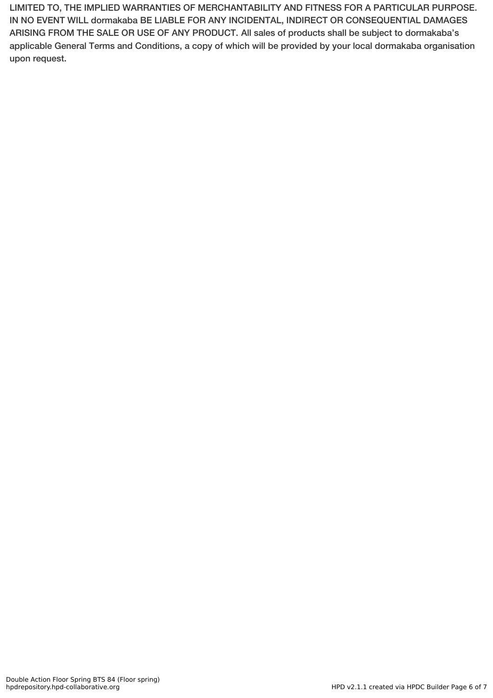LIMITED TO, THE IMPLIED WARRANTIES OF MERCHANTABILITY AND FITNESS FOR A PARTICULAR PURPOSE. IN NO EVENT WILL dormakaba BE LIABLE FOR ANY INCIDENTAL, INDIRECT OR CONSEQUENTIAL DAMAGES ARISING FROM THE SALE OR USE OF ANY PRODUCT. All sales of products shall be subject to dormakaba's applicable General Terms and Conditions, a copy of which will be provided by your local dormakaba organisation upon request.